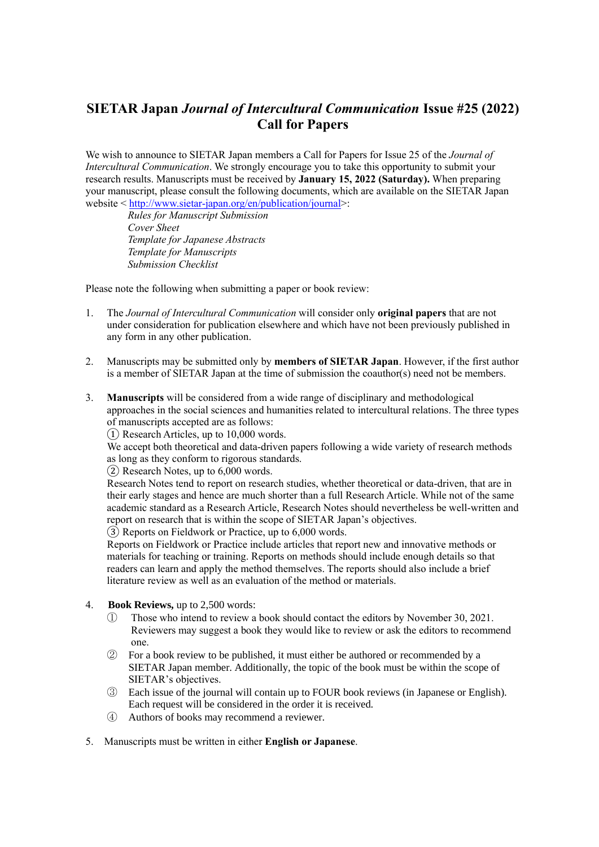## **SIETAR Japan** *Journal of Intercultural Communication* **Issue #25 (2022) Call for Papers**

We wish to announce to SIETAR Japan members a Call for Papers for Issue 25 of the *Journal of Intercultural Communication*. We strongly encourage you to take this opportunity to submit your research results. Manuscripts must be received by **January 15, 2022 (Saturday).** When preparing your manuscript, please consult the following documents, which are available on the SIETAR Japan website < [http://www.sietar-japan.org/en/publication/journal>](http://www.sietar-japan.org/en/publication/journal):

*Rules for Manuscript Submission Cover Sheet Template for Japanese Abstracts Template for Manuscripts Submission Checklist*

Please note the following when submitting a paper or book review:

- 1. The *Journal of Intercultural Communication* will consider only **original papers** that are not under consideration for publication elsewhere and which have not been previously published in any form in any other publication.
- 2. Manuscripts may be submitted only by **members of SIETAR Japan**. However, if the first author is a member of SIETAR Japan at the time of submission the coauthor(s) need not be members.
- 3. **Manuscripts** will be considered from a wide range of disciplinary and methodological approaches in the social sciences and humanities related to intercultural relations. The three types of manuscripts accepted are as follows:

 $(1)$  Research Articles, up to 10,000 words.

We accept both theoretical and data-driven papers following a wide variety of research methods as long as they conform to rigorous standards.

② Research Notes, up to 6,000 words.

Research Notes tend to report on research studies, whether theoretical or data-driven, that are in their early stages and hence are much shorter than a full Research Article. While not of the same academic standard as a Research Article, Research Notes should nevertheless be well-written and report on research that is within the scope of SIETAR Japan's objectives.

③ Reports on Fieldwork or Practice, up to 6,000 words.

Reports on Fieldwork or Practice include articles that report new and innovative methods or materials for teaching or training. Reports on methods should include enough details so that readers can learn and apply the method themselves. The reports should also include a brief literature review as well as an evaluation of the method or materials.

- 4. **Book Reviews,** up to 2,500 words:
	- ① Those who intend to review a book should contact the editors by November 30, 2021. Reviewers may suggest a book they would like to review or ask the editors to recommend one.
	- ② For a book review to be published, it must either be authored or recommended by a SIETAR Japan member. Additionally, the topic of the book must be within the scope of SIETAR's objectives.
	- ③ Each issue of the journal will contain up to FOUR book reviews (in Japanese or English). Each request will be considered in the order it is received.
	- ④ Authors of books may recommend a reviewer.
- 5. Manuscripts must be written in either **English or Japanese**.